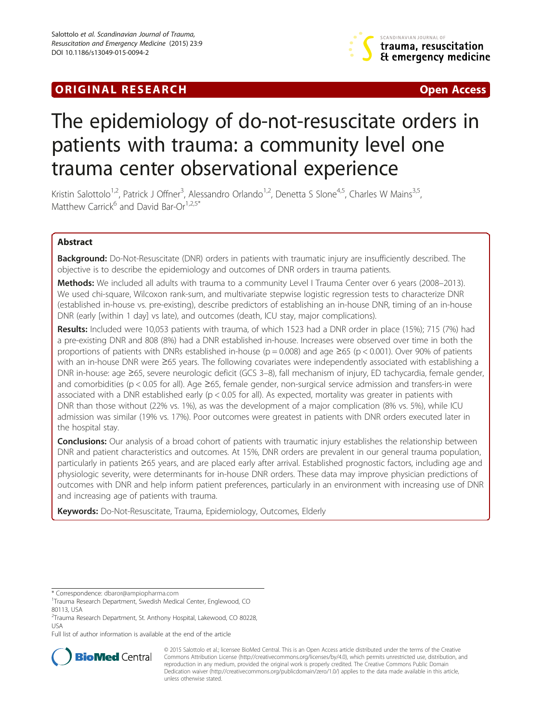# **ORIGINAL RESEARCH CONFIDENTIAL CONSUMING A LIGHT CONFIDENTIAL CONSUMING A LIGHT CONFIDENTIAL CONFIDENTIAL CONSU**



# The epidemiology of do-not-resuscitate orders in patients with trauma: a community level one trauma center observational experience

Kristin Salottolo<sup>1,2</sup>, Patrick J Offner<sup>3</sup>, Alessandro Orlando<sup>1,2</sup>, Denetta S Slone<sup>4,5</sup>, Charles W Mains<sup>3,5</sup>, Matthew Carrick<sup>6</sup> and David Bar-Or<sup>1,2,5\*</sup>

# Abstract

**Background:** Do-Not-Resuscitate (DNR) orders in patients with traumatic injury are insufficiently described. The objective is to describe the epidemiology and outcomes of DNR orders in trauma patients.

Methods: We included all adults with trauma to a community Level I Trauma Center over 6 years (2008–2013). We used chi-square, Wilcoxon rank-sum, and multivariate stepwise logistic regression tests to characterize DNR (established in-house vs. pre-existing), describe predictors of establishing an in-house DNR, timing of an in-house DNR (early [within 1 day] vs late), and outcomes (death, ICU stay, major complications).

Results: Included were 10,053 patients with trauma, of which 1523 had a DNR order in place (15%); 715 (7%) had a pre-existing DNR and 808 (8%) had a DNR established in-house. Increases were observed over time in both the proportions of patients with DNRs established in-house ( $p = 0.008$ ) and age ≥65 ( $p < 0.001$ ). Over 90% of patients with an in-house DNR were ≥65 years. The following covariates were independently associated with establishing a DNR in-house: age ≥65, severe neurologic deficit (GCS 3–8), fall mechanism of injury, ED tachycardia, female gender, and comorbidities (p < 0.05 for all). Age ≥65, female gender, non-surgical service admission and transfers-in were associated with a DNR established early (p < 0.05 for all). As expected, mortality was greater in patients with DNR than those without (22% vs. 1%), as was the development of a major complication (8% vs. 5%), while ICU admission was similar (19% vs. 17%). Poor outcomes were greatest in patients with DNR orders executed later in the hospital stay.

**Conclusions:** Our analysis of a broad cohort of patients with traumatic injury establishes the relationship between DNR and patient characteristics and outcomes. At 15%, DNR orders are prevalent in our general trauma population, particularly in patients ≥65 years, and are placed early after arrival. Established prognostic factors, including age and physiologic severity, were determinants for in-house DNR orders. These data may improve physician predictions of outcomes with DNR and help inform patient preferences, particularly in an environment with increasing use of DNR and increasing age of patients with trauma.

Keywords: Do-Not-Resuscitate, Trauma, Epidemiology, Outcomes, Elderly

Full list of author information is available at the end of the article



© 2015 Salottolo et al.; licensee BioMed Central. This is an Open Access article distributed under the terms of the Creative Commons Attribution License [\(http://creativecommons.org/licenses/by/4.0\)](http://creativecommons.org/licenses/by/4.0), which permits unrestricted use, distribution, and reproduction in any medium, provided the original work is properly credited. The Creative Commons Public Domain Dedication waiver [\(http://creativecommons.org/publicdomain/zero/1.0/](http://creativecommons.org/publicdomain/zero/1.0/)) applies to the data made available in this article, unless otherwise stated.

<sup>\*</sup> Correspondence: [dbaror@ampiopharma.com](mailto:dbaror@ampiopharma.com) <sup>1</sup>

<sup>&</sup>lt;sup>1</sup>Trauma Research Department, Swedish Medical Center, Englewood, CO 80113, USA

<sup>&</sup>lt;sup>2</sup>Trauma Research Department, St. Anthony Hospital, Lakewood, CO 80228, USA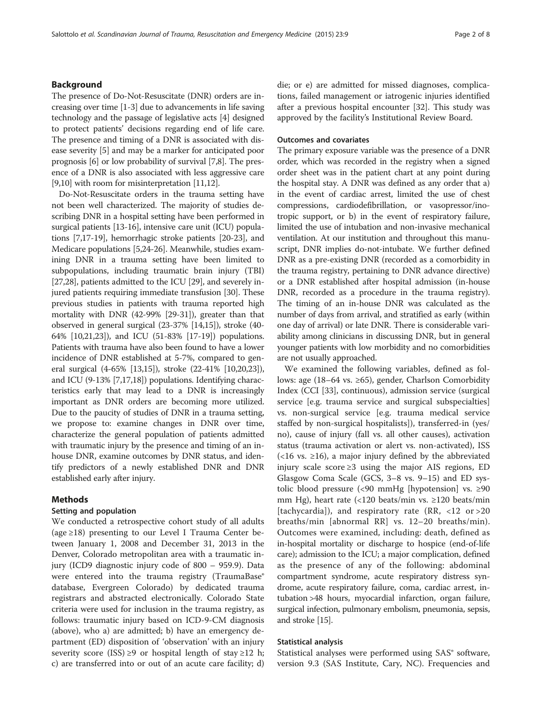# Background

The presence of Do-Not-Resuscitate (DNR) orders are increasing over time [\[1](#page-7-0)-[3](#page-7-0)] due to advancements in life saving technology and the passage of legislative acts [[4](#page-7-0)] designed to protect patients' decisions regarding end of life care. The presence and timing of a DNR is associated with disease severity [\[5](#page-7-0)] and may be a marker for anticipated poor prognosis [\[6\]](#page-7-0) or low probability of survival [\[7,8\]](#page-7-0). The presence of a DNR is also associated with less aggressive care [[9,10](#page-7-0)] with room for misinterpretation [\[11,12\]](#page-7-0).

Do-Not-Resuscitate orders in the trauma setting have not been well characterized. The majority of studies describing DNR in a hospital setting have been performed in surgical patients [\[13-16\]](#page-7-0), intensive care unit (ICU) populations [\[7,17-19\]](#page-7-0), hemorrhagic stroke patients [[20-23\]](#page-7-0), and Medicare populations [\[5,24-26\]](#page-7-0). Meanwhile, studies examining DNR in a trauma setting have been limited to subpopulations, including traumatic brain injury (TBI) [[27,28](#page-7-0)], patients admitted to the ICU [\[29\]](#page-7-0), and severely injured patients requiring immediate transfusion [\[30\]](#page-7-0). These previous studies in patients with trauma reported high mortality with DNR (42-99% [[29](#page-7-0)-[31](#page-7-0)]), greater than that observed in general surgical (23-37% [\[14,15](#page-7-0)]), stroke (40- 64% [[10](#page-7-0),[21,23\]](#page-7-0)), and ICU (51-83% [\[17-19\]](#page-7-0)) populations. Patients with trauma have also been found to have a lower incidence of DNR established at 5-7%, compared to general surgical (4-65% [\[13,15\]](#page-7-0)), stroke (22-41% [\[10,20,23](#page-7-0)]), and ICU (9-13% [\[7,17,18](#page-7-0)]) populations. Identifying characteristics early that may lead to a DNR is increasingly important as DNR orders are becoming more utilized. Due to the paucity of studies of DNR in a trauma setting, we propose to: examine changes in DNR over time, characterize the general population of patients admitted with traumatic injury by the presence and timing of an inhouse DNR, examine outcomes by DNR status, and identify predictors of a newly established DNR and DNR established early after injury.

# Methods

# Setting and population

We conducted a retrospective cohort study of all adults (age  $\geq$ 18) presenting to our Level I Trauma Center between January 1, 2008 and December 31, 2013 in the Denver, Colorado metropolitan area with a traumatic injury (ICD9 diagnostic injury code of 800 – 959.9). Data were entered into the trauma registry (TraumaBase® database, Evergreen Colorado) by dedicated trauma registrars and abstracted electronically. Colorado State criteria were used for inclusion in the trauma registry, as follows: traumatic injury based on ICD-9-CM diagnosis (above), who a) are admitted; b) have an emergency department (ED) disposition of 'observation' with an injury severity score (ISS)  $\geq$ 9 or hospital length of stay  $\geq$ 12 h; c) are transferred into or out of an acute care facility; d) die; or e) are admitted for missed diagnoses, complications, failed management or iatrogenic injuries identified after a previous hospital encounter [\[32](#page-7-0)]. This study was approved by the facility's Institutional Review Board.

# Outcomes and covariates

The primary exposure variable was the presence of a DNR order, which was recorded in the registry when a signed order sheet was in the patient chart at any point during the hospital stay. A DNR was defined as any order that a) in the event of cardiac arrest, limited the use of chest compressions, cardiodefibrillation, or vasopressor/inotropic support, or b) in the event of respiratory failure, limited the use of intubation and non-invasive mechanical ventilation. At our institution and throughout this manuscript, DNR implies do-not-intubate. We further defined DNR as a pre-existing DNR (recorded as a comorbidity in the trauma registry, pertaining to DNR advance directive) or a DNR established after hospital admission (in-house DNR, recorded as a procedure in the trauma registry). The timing of an in-house DNR was calculated as the number of days from arrival, and stratified as early (within one day of arrival) or late DNR. There is considerable variability among clinicians in discussing DNR, but in general younger patients with low morbidity and no comorbidities are not usually approached.

We examined the following variables, defined as follows: age (18–64 vs. ≥65), gender, Charlson Comorbidity Index (CCI [[33\]](#page-7-0), continuous), admission service (surgical service [e.g. trauma service and surgical subspecialties] vs. non-surgical service [e.g. trauma medical service staffed by non-surgical hospitalists]), transferred-in (yes/ no), cause of injury (fall vs. all other causes), activation status (trauma activation or alert vs. non-activated), ISS  $($ <16 vs.  $\geq$ 16), a major injury defined by the abbreviated injury scale score  $\geq$ 3 using the major AIS regions, ED Glasgow Coma Scale (GCS, 3–8 vs. 9–15) and ED systolic blood pressure (<90 mmHg [hypotension] vs. ≥90 mm Hg), heart rate (<120 beats/min vs. ≥120 beats/min [tachycardia]), and respiratory rate (RR, <12 or >20 breaths/min [abnormal RR] vs. 12–20 breaths/min). Outcomes were examined, including: death, defined as in-hospital mortality or discharge to hospice (end-of-life care); admission to the ICU; a major complication, defined as the presence of any of the following: abdominal compartment syndrome, acute respiratory distress syndrome, acute respiratory failure, coma, cardiac arrest, intubation >48 hours, myocardial infarction, organ failure, surgical infection, pulmonary embolism, pneumonia, sepsis, and stroke [\[15\]](#page-7-0).

# Statistical analysis

Statistical analyses were performed using SAS® software, version 9.3 (SAS Institute, Cary, NC). Frequencies and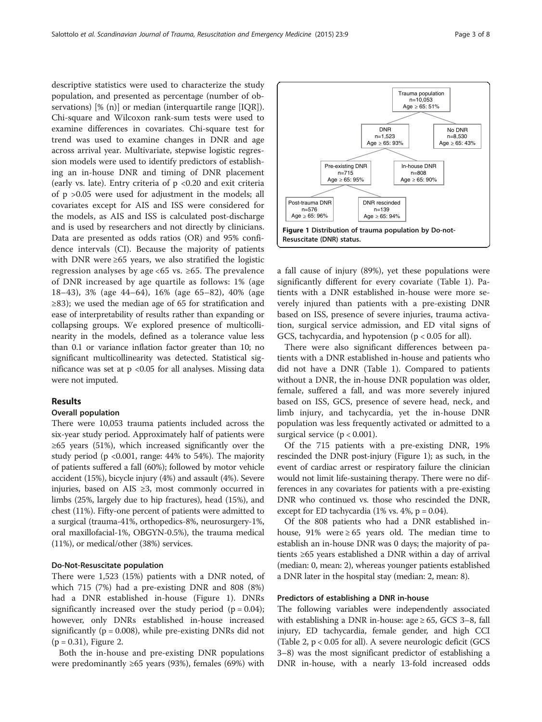descriptive statistics were used to characterize the study population, and presented as percentage (number of observations) [% (n)] or median (interquartile range [IQR]). Chi-square and Wilcoxon rank-sum tests were used to examine differences in covariates. Chi-square test for trend was used to examine changes in DNR and age across arrival year. Multivariate, stepwise logistic regression models were used to identify predictors of establishing an in-house DNR and timing of DNR placement (early vs. late). Entry criteria of p <0.20 and exit criteria of p >0.05 were used for adjustment in the models; all covariates except for AIS and ISS were considered for the models, as AIS and ISS is calculated post-discharge and is used by researchers and not directly by clinicians. Data are presented as odds ratios (OR) and 95% confidence intervals (CI). Because the majority of patients with DNR were  $\geq 65$  years, we also stratified the logistic regression analyses by age <65 vs.  $\geq 65$ . The prevalence of DNR increased by age quartile as follows: 1% (age 18–43), 3% (age 44–64), 16% (age 65–82), 40% (age ≥83); we used the median age of 65 for stratification and ease of interpretability of results rather than expanding or collapsing groups. We explored presence of multicollinearity in the models, defined as a tolerance value less than 0.1 or variance inflation factor greater than 10; no significant multicollinearity was detected. Statistical significance was set at p <0.05 for all analyses. Missing data were not imputed.

# Results

# Overall population

There were 10,053 trauma patients included across the six-year study period. Approximately half of patients were ≥65 years (51%), which increased significantly over the study period ( $p < 0.001$ , range: 44% to 54%). The majority of patients suffered a fall (60%); followed by motor vehicle accident (15%), bicycle injury (4%) and assault (4%). Severe injuries, based on AIS ≥3, most commonly occurred in limbs (25%, largely due to hip fractures), head (15%), and chest (11%). Fifty-one percent of patients were admitted to a surgical (trauma-41%, orthopedics-8%, neurosurgery-1%, oral maxillofacial-1%, OBGYN-0.5%), the trauma medical (11%), or medical/other (38%) services.

# Do-Not-Resuscitate population

There were 1,523 (15%) patients with a DNR noted, of which 715 (7%) had a pre-existing DNR and 808 (8%) had a DNR established in-house (Figure 1). DNRs significantly increased over the study period  $(p = 0.04)$ ; however, only DNRs established in-house increased significantly ( $p = 0.008$ ), while pre-existing DNRs did not  $(p = 0.31)$ , Figure [2](#page-3-0).

Both the in-house and pre-existing DNR populations were predominantly ≥65 years (93%), females (69%) with



a fall cause of injury (89%), yet these populations were significantly different for every covariate (Table [1](#page-3-0)). Patients with a DNR established in-house were more severely injured than patients with a pre-existing DNR based on ISS, presence of severe injuries, trauma activation, surgical service admission, and ED vital signs of GCS, tachycardia, and hypotension ( $p < 0.05$  for all).

There were also significant differences between patients with a DNR established in-house and patients who did not have a DNR (Table [1](#page-3-0)). Compared to patients without a DNR, the in-house DNR population was older, female, suffered a fall, and was more severely injured based on ISS, GCS, presence of severe head, neck, and limb injury, and tachycardia, yet the in-house DNR population was less frequently activated or admitted to a surgical service  $(p < 0.001)$ .

Of the 715 patients with a pre-existing DNR, 19% rescinded the DNR post-injury (Figure 1); as such, in the event of cardiac arrest or respiratory failure the clinician would not limit life-sustaining therapy. There were no differences in any covariates for patients with a pre-existing DNR who continued vs. those who rescinded the DNR, except for ED tachycardia (1% vs.  $4\%$ , p = 0.04).

Of the 808 patients who had a DNR established inhouse, 91% were  $\ge 65$  years old. The median time to establish an in-house DNR was 0 days; the majority of patients ≥65 years established a DNR within a day of arrival (median: 0, mean: 2), whereas younger patients established a DNR later in the hospital stay (median: 2, mean: 8).

# Predictors of establishing a DNR in-house

The following variables were independently associated with establishing a DNR in-house: age  $\geq 65$ , GCS 3–8, fall injury, ED tachycardia, female gender, and high CCI (Table [2](#page-4-0), p < 0.05 for all). A severe neurologic deficit (GCS 3–8) was the most significant predictor of establishing a DNR in-house, with a nearly 13-fold increased odds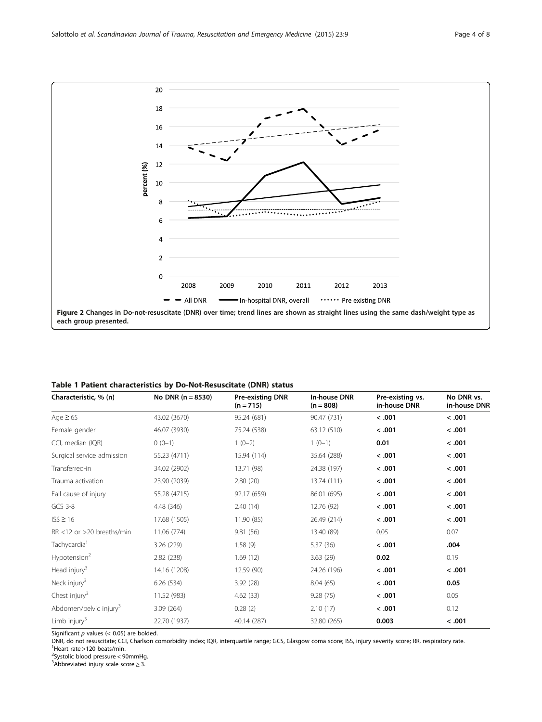<span id="page-3-0"></span>

Table 1 Patient characteristics by Do-Not-Resuscitate (DNR) status

| Characteristic, % (n)              | No DNR $(n = 8530)$ | Pre-existing DNR<br>$(n = 715)$ | <b>In-house DNR</b><br>$(n = 808)$ | Pre-existing vs.<br>in-house DNR | No DNR vs.<br>in-house DNR |
|------------------------------------|---------------------|---------------------------------|------------------------------------|----------------------------------|----------------------------|
| Age $\geq 65$                      | 43.02 (3670)        | 95.24 (681)                     | 90.47 (731)                        | < .001                           | < .001                     |
| Female gender                      | 46.07 (3930)        | 75.24 (538)                     | 63.12 (510)                        | < .001                           | < .001                     |
| CCI, median (IQR)                  | $0(0-1)$            | $1(0-2)$                        | $1(0-1)$                           | 0.01                             | < .001                     |
| Surgical service admission         | 55.23 (4711)        | 15.94 (114)                     | 35.64 (288)                        | < .001                           | < .001                     |
| Transferred-in                     | 34.02 (2902)        | 13.71 (98)                      | 24.38 (197)                        | < .001                           | < .001                     |
| Trauma activation                  | 23.90 (2039)        | 2.80(20)                        | 13.74 (111)                        | < .001                           | < .001                     |
| Fall cause of injury               | 55.28 (4715)        | 92.17 (659)                     | 86.01 (695)                        | < .001                           | < .001                     |
| GCS 3-8                            | 4.48 (346)          | 2.40(14)                        | 12.76 (92)                         | < .001                           | < .001                     |
| $ISS \geq 16$                      | 17.68 (1505)        | 11.90 (85)                      | 26.49 (214)                        | < .001                           | < .001                     |
| RR <12 or >20 breaths/min          | 11.06 (774)         | 9.81(56)                        | 13.40 (89)                         | 0.05                             | 0.07                       |
| Tachycardia <sup>1</sup>           | 3.26 (229)          | 1.58(9)                         | 5.37(36)                           | < .001                           | .004                       |
| Hypotension <sup>2</sup>           | 2.82 (238)          | 1.69(12)                        | 3.63(29)                           | 0.02                             | 0.19                       |
| Head injury $3$                    | 14.16 (1208)        | 12.59 (90)                      | 24.26 (196)                        | < .001                           | < .001                     |
| Neck injury <sup>3</sup>           | 6.26(534)           | 3.92(28)                        | 8.04(65)                           | < .001                           | 0.05                       |
| Chest injury <sup>3</sup>          | 11.52 (983)         | 4.62(33)                        | 9.28(75)                           | < .001                           | 0.05                       |
| Abdomen/pelvic injury <sup>3</sup> | 3.09 (264)          | 0.28(2)                         | 2.10(17)                           | < .001                           | 0.12                       |
| Limb injury $3$                    | 22.70 (1937)        | 40.14 (287)                     | 32.80 (265)                        | 0.003                            | < .001                     |

Significant  $p$  values (< 0.05) are bolded.

DNR, do not resuscitate; CCI, Charlson comorbidity index; IQR, interquartile range; GCS, Glasgow coma score; ISS, injury severity score; RR, respiratory rate. <sup>1</sup>

<sup>1</sup>Heart rate >120 beats/min.

<sup>2</sup>Systolic blood pressure < 90mmHg.  $3$ Abbreviated injury scale score  $\geq 3$ .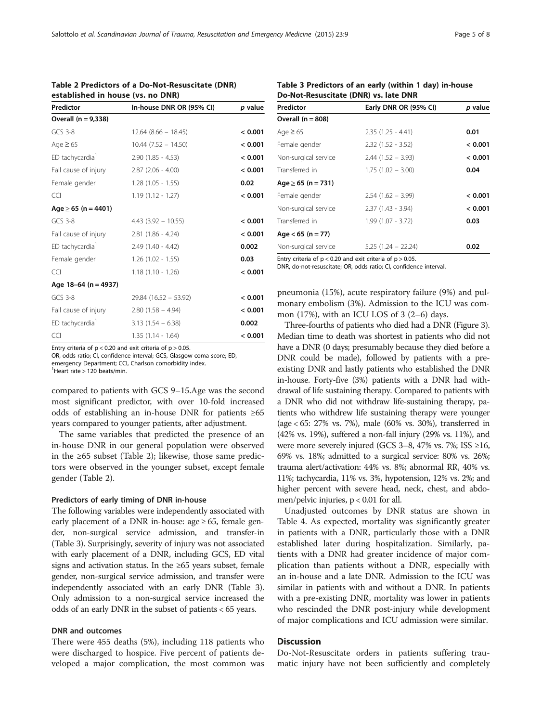<span id="page-4-0"></span>

| Table 2 Predictors of a Do-Not-Resuscitate (DNR) |  |
|--------------------------------------------------|--|
| established in house (vs. no DNR)                |  |

| Predictor                   | In-house DNR OR (95% CI) | p value |  |
|-----------------------------|--------------------------|---------|--|
| Overall $(n = 9,338)$       |                          |         |  |
| GCS 3-8                     | $12.64$ (8.66 - 18.45)   | < 0.001 |  |
| Age $\geq 65$               | $10.44$ (7.52 - 14.50)   | < 0.001 |  |
| ED tachycardia <sup>1</sup> | $2.90(1.85 - 4.53)$      | < 0.001 |  |
| Fall cause of injury        | $2.87$ (2.06 - 4.00)     | < 0.001 |  |
| Female gender               | $1.28(1.05 - 1.55)$      | 0.02    |  |
| <b>CCI</b>                  | $1.19(1.12 - 1.27)$      | < 0.001 |  |
| Age $\geq 65$ (n = 4401)    |                          |         |  |
| $GCS$ 3-8                   | $4.43$ (3.92 - 10.55)    | < 0.001 |  |
| Fall cause of injury        | $2.81$ (1.86 - 4.24)     | < 0.001 |  |
| ED tachycardia <sup>1</sup> | $2.49(1.40 - 4.42)$      | 0.002   |  |
| Female gender               | $1.26$ (1.02 - 1.55)     | 0.03    |  |
| <b>CCI</b>                  | $1.18(1.10 - 1.26)$      | < 0.001 |  |
| Age 18-64 (n = 4937)        |                          |         |  |
| GCS 3-8                     | $29.84$ (16.52 - 53.92)  | < 0.001 |  |
| Fall cause of injury        | $2.80(1.58 - 4.94)$      | < 0.001 |  |
| ED tachycardia <sup>1</sup> | $3.13(1.54 - 6.38)$      | 0.002   |  |
| <b>CCI</b>                  | $1.35(1.14 - 1.64)$      | < 0.001 |  |

Entry criteria of  $p < 0.20$  and exit criteria of  $p > 0.05$ .

OR, odds ratio; CI, confidence interval; GCS, Glasgow coma score; ED,

emergency Department; CCI, Charlson comorbidity index.

1 Heart rate > 120 beats/min.

compared to patients with GCS 9–15.Age was the second most significant predictor, with over 10-fold increased odds of establishing an in-house DNR for patients ≥65 years compared to younger patients, after adjustment.

The same variables that predicted the presence of an in-house DNR in our general population were observed in the ≥65 subset (Table 2); likewise, those same predictors were observed in the younger subset, except female gender (Table 2).

# Predictors of early timing of DNR in-house

The following variables were independently associated with early placement of a DNR in-house: age  $\geq 65$ , female gender, non-surgical service admission, and transfer-in (Table 3). Surprisingly, severity of injury was not associated with early placement of a DNR, including GCS, ED vital signs and activation status. In the ≥65 years subset, female gender, non-surgical service admission, and transfer were independently associated with an early DNR (Table 3). Only admission to a non-surgical service increased the odds of an early DNR in the subset of patients < 65 years.

# DNR and outcomes

There were 455 deaths (5%), including 118 patients who were discharged to hospice. Five percent of patients developed a major complication, the most common was

| Table 3 Predictors of an early (within 1 day) in-house |  |
|--------------------------------------------------------|--|
| Do-Not-Resuscitate (DNR) vs. late DNR                  |  |

| Predictor              | Early DNR OR (95% CI) | p value |  |
|------------------------|-----------------------|---------|--|
| Overall $(n = 808)$    |                       |         |  |
| Age $\geq 65$          | $2.35(1.25 - 4.41)$   | 0.01    |  |
| Female gender          | $2.32(1.52 - 3.52)$   | < 0.001 |  |
| Non-surgical service   | $2.44$ (1.52 – 3.93)  | < 0.001 |  |
| Transferred in         | $1.75(1.02 - 3.00)$   | 0.04    |  |
| $Age \ge 65 (n = 731)$ |                       |         |  |
| Female gender          | $2.54(1.62 - 3.99)$   | < 0.001 |  |
| Non-surgical service   | $2.37(1.43 - 3.94)$   | < 0.001 |  |
| Transferred in         | $1.99(1.07 - 3.72)$   | 0.03    |  |
| Age $< 65$ (n = 77)    |                       |         |  |
| Non-surgical service   | $5.25(1.24 - 22.24)$  | 0.02    |  |
|                        |                       |         |  |

Entry criteria of  $p < 0.20$  and exit criteria of  $p > 0.05$ .

DNR, do-not-resuscitate; OR, odds ratio; CI, confidence interval.

pneumonia (15%), acute respiratory failure (9%) and pulmonary embolism (3%). Admission to the ICU was common (17%), with an ICU LOS of 3 (2–6) days.

Three-fourths of patients who died had a DNR (Figure [3](#page-5-0)). Median time to death was shortest in patients who did not have a DNR (0 days; presumably because they died before a DNR could be made), followed by patients with a preexisting DNR and lastly patients who established the DNR in-house. Forty-five (3%) patients with a DNR had withdrawal of life sustaining therapy. Compared to patients with a DNR who did not withdraw life-sustaining therapy, patients who withdrew life sustaining therapy were younger (age < 65: 27% vs. 7%), male (60% vs. 30%), transferred in (42% vs. 19%), suffered a non-fall injury (29% vs. 11%), and were more severely injured (GCS 3–8, 47% vs. 7%; ISS ≥16, 69% vs. 18%; admitted to a surgical service: 80% vs. 26%; trauma alert/activation: 44% vs. 8%; abnormal RR, 40% vs. 11%; tachycardia, 11% vs. 3%, hypotension, 12% vs. 2%; and higher percent with severe head, neck, chest, and abdomen/pelvic injuries, p < 0.01 for all.

Unadjusted outcomes by DNR status are shown in Table [4](#page-5-0). As expected, mortality was significantly greater in patients with a DNR, particularly those with a DNR established later during hospitalization. Similarly, patients with a DNR had greater incidence of major complication than patients without a DNR, especially with an in-house and a late DNR. Admission to the ICU was similar in patients with and without a DNR. In patients with a pre-existing DNR, mortality was lower in patients who rescinded the DNR post-injury while development of major complications and ICU admission were similar.

# Discussion

Do-Not-Resuscitate orders in patients suffering traumatic injury have not been sufficiently and completely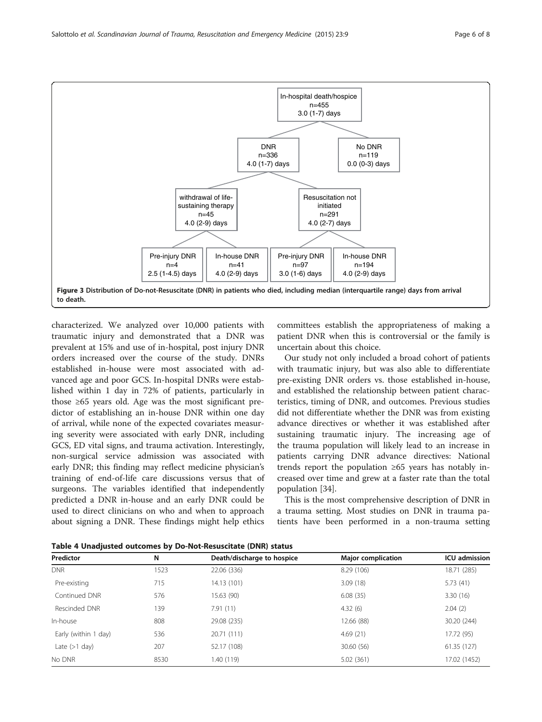<span id="page-5-0"></span>

characterized. We analyzed over 10,000 patients with traumatic injury and demonstrated that a DNR was prevalent at 15% and use of in-hospital, post injury DNR orders increased over the course of the study. DNRs established in-house were most associated with advanced age and poor GCS. In-hospital DNRs were established within 1 day in 72% of patients, particularly in those ≥65 years old. Age was the most significant predictor of establishing an in-house DNR within one day of arrival, while none of the expected covariates measuring severity were associated with early DNR, including GCS, ED vital signs, and trauma activation. Interestingly, non-surgical service admission was associated with early DNR; this finding may reflect medicine physician's training of end-of-life care discussions versus that of surgeons. The variables identified that independently predicted a DNR in-house and an early DNR could be used to direct clinicians on who and when to approach about signing a DNR. These findings might help ethics

committees establish the appropriateness of making a patient DNR when this is controversial or the family is uncertain about this choice.

Our study not only included a broad cohort of patients with traumatic injury, but was also able to differentiate pre-existing DNR orders vs. those established in-house, and established the relationship between patient characteristics, timing of DNR, and outcomes. Previous studies did not differentiate whether the DNR was from existing advance directives or whether it was established after sustaining traumatic injury. The increasing age of the trauma population will likely lead to an increase in patients carrying DNR advance directives: National trends report the population ≥65 years has notably increased over time and grew at a faster rate than the total population [[34\]](#page-7-0).

This is the most comprehensive description of DNR in a trauma setting. Most studies on DNR in trauma patients have been performed in a non-trauma setting

Table 4 Unadjusted outcomes by Do-Not-Resuscitate (DNR) status

| Predictor<br>N       |      | Death/discharge to hospice | Major complication | ICU admission |  |
|----------------------|------|----------------------------|--------------------|---------------|--|
| <b>DNR</b>           | 1523 | 22.06 (336)                | 8.29 (106)         | 18.71 (285)   |  |
| Pre-existing         | 715  | 14.13 (101)                | 3.09(18)           | 5.73(41)      |  |
| Continued DNR        | 576  | 15.63(90)                  | 6.08(35)           | 3.30(16)      |  |
| Rescinded DNR        | 139  | 7.91(11)                   | 4.32(6)            | 2.04(2)       |  |
| In-house             | 808  | 29.08 (235)                | 12.66 (88)         | 30.20 (244)   |  |
| Early (within 1 day) | 536  | 20.71 (111)                | 4.69(21)           | 17.72 (95)    |  |
| Late $(>1$ day)      | 207  | 52.17 (108)                | 30.60 (56)         | 61.35 (127)   |  |
| No DNR               | 8530 | 1.40 (119)                 | 5.02(361)          | 17.02 (1452)  |  |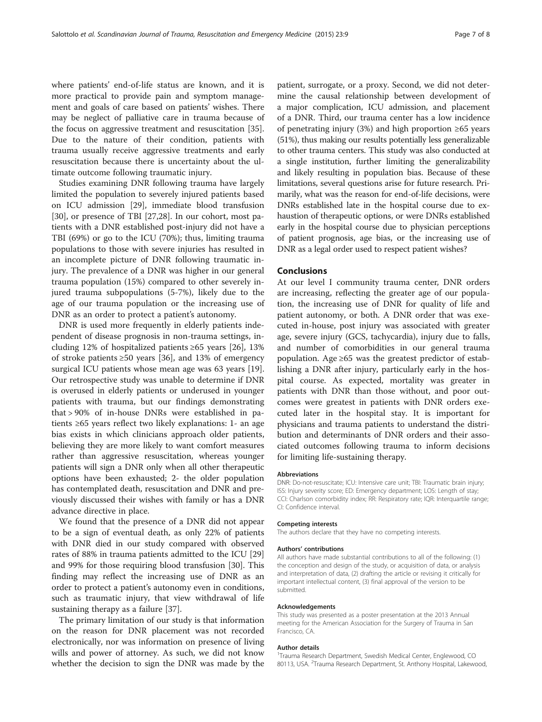where patients' end-of-life status are known, and it is more practical to provide pain and symptom management and goals of care based on patients' wishes. There may be neglect of palliative care in trauma because of the focus on aggressive treatment and resuscitation [\[35](#page-7-0)]. Due to the nature of their condition, patients with trauma usually receive aggressive treatments and early resuscitation because there is uncertainty about the ultimate outcome following traumatic injury.

Studies examining DNR following trauma have largely limited the population to severely injured patients based on ICU admission [\[29\]](#page-7-0), immediate blood transfusion [[30\]](#page-7-0), or presence of TBI [\[27,28\]](#page-7-0). In our cohort, most patients with a DNR established post-injury did not have a TBI (69%) or go to the ICU (70%); thus, limiting trauma populations to those with severe injuries has resulted in an incomplete picture of DNR following traumatic injury. The prevalence of a DNR was higher in our general trauma population (15%) compared to other severely injured trauma subpopulations (5-7%), likely due to the age of our trauma population or the increasing use of DNR as an order to protect a patient's autonomy.

DNR is used more frequently in elderly patients independent of disease prognosis in non-trauma settings, including 12% of hospitalized patients ≥65 years [\[26\]](#page-7-0), 13% of stroke patients ≥50 years [\[36](#page-7-0)], and 13% of emergency surgical ICU patients whose mean age was 63 years [\[19](#page-7-0)]. Our retrospective study was unable to determine if DNR is overused in elderly patients or underused in younger patients with trauma, but our findings demonstrating that > 90% of in-house DNRs were established in patients ≥65 years reflect two likely explanations: 1- an age bias exists in which clinicians approach older patients, believing they are more likely to want comfort measures rather than aggressive resuscitation, whereas younger patients will sign a DNR only when all other therapeutic options have been exhausted; 2- the older population has contemplated death, resuscitation and DNR and previously discussed their wishes with family or has a DNR advance directive in place.

We found that the presence of a DNR did not appear to be a sign of eventual death, as only 22% of patients with DNR died in our study compared with observed rates of 88% in trauma patients admitted to the ICU [[29](#page-7-0)] and 99% for those requiring blood transfusion [\[30\]](#page-7-0). This finding may reflect the increasing use of DNR as an order to protect a patient's autonomy even in conditions, such as traumatic injury, that view withdrawal of life sustaining therapy as a failure [[37\]](#page-7-0).

The primary limitation of our study is that information on the reason for DNR placement was not recorded electronically, nor was information on presence of living wills and power of attorney. As such, we did not know whether the decision to sign the DNR was made by the

patient, surrogate, or a proxy. Second, we did not determine the causal relationship between development of a major complication, ICU admission, and placement of a DNR. Third, our trauma center has a low incidence of penetrating injury (3%) and high proportion ≥65 years (51%), thus making our results potentially less generalizable to other trauma centers. This study was also conducted at a single institution, further limiting the generalizability and likely resulting in population bias. Because of these limitations, several questions arise for future research. Primarily, what was the reason for end-of-life decisions, were DNRs established late in the hospital course due to exhaustion of therapeutic options, or were DNRs established early in the hospital course due to physician perceptions of patient prognosis, age bias, or the increasing use of DNR as a legal order used to respect patient wishes?

# Conclusions

At our level I community trauma center, DNR orders are increasing, reflecting the greater age of our population, the increasing use of DNR for quality of life and patient autonomy, or both. A DNR order that was executed in-house, post injury was associated with greater age, severe injury (GCS, tachycardia), injury due to falls, and number of comorbidities in our general trauma population. Age ≥65 was the greatest predictor of establishing a DNR after injury, particularly early in the hospital course. As expected, mortality was greater in patients with DNR than those without, and poor outcomes were greatest in patients with DNR orders executed later in the hospital stay. It is important for physicians and trauma patients to understand the distribution and determinants of DNR orders and their associated outcomes following trauma to inform decisions for limiting life-sustaining therapy.

# Abbreviations

DNR: Do-not-resuscitate; ICU: Intensive care unit; TBI: Traumatic brain injury; ISS: Injury severity score; ED: Emergency department; LOS: Length of stay; CCI: Charlson comorbidity index; RR: Respiratory rate; IQR: Interquartile range; CI: Confidence interval.

## Competing interests

The authors declare that they have no competing interests.

#### Authors' contributions

All authors have made substantial contributions to all of the following: (1) the conception and design of the study, or acquisition of data, or analysis and interpretation of data, (2) drafting the article or revising it critically for important intellectual content, (3) final approval of the version to be submitted.

#### Acknowledgements

This study was presented as a poster presentation at the 2013 Annual meeting for the American Association for the Surgery of Trauma in San Francisco, CA.

## Author details

<sup>1</sup>Trauma Research Department, Swedish Medical Center, Englewood, CO 80113, USA. <sup>2</sup>Trauma Research Department, St. Anthony Hospital, Lakewood,